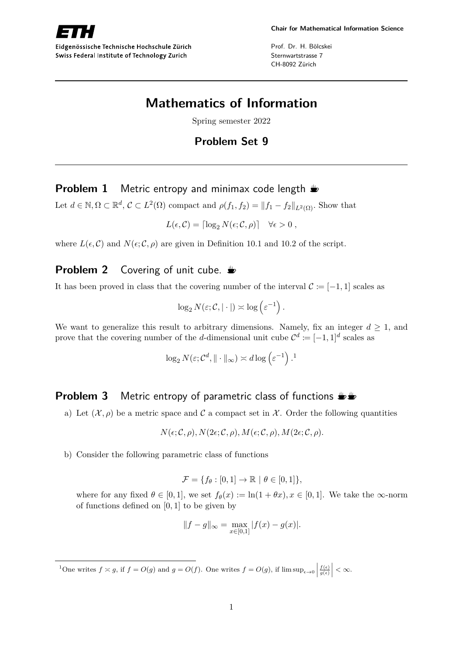

Eidgenössische Technische Hochschule Zürich Swiss Federal Institute of Technology Zurich

Prof. Dr. H. Bölcskei Sternwartstrasse 7 CH-8092 Zürich

# **Mathematics of Information**

Spring semester 2022

# **Problem Set 9**

### **Problem 1** Metric entropy and minimax code length  $\triangle$

Let  $d \in \mathbb{N}, \Omega \subset \mathbb{R}^d, \mathcal{C} \subset L^2(\Omega)$  compact and  $\rho(f_1, f_2) = ||f_1 - f_2||_{L^2(\Omega)}$ . Show that

 $L(\epsilon, \mathcal{C}) = \left[ \log_2 N(\epsilon; \mathcal{C}, \rho) \right] \quad \forall \epsilon > 0,$ 

where  $L(\epsilon, \mathcal{C})$  and  $N(\epsilon, \mathcal{C}, \rho)$  are given in Definition 10.1 and 10.2 of the script.

# **Problem 2** Covering of unit cube.

It has been proved in class that the covering number of the interval  $\mathcal{C} := [-1, 1]$  scales as

$$
\log_2 N(\varepsilon; \mathcal{C}, |\cdot|) \asymp \log \left(\varepsilon^{-1}\right).
$$

We want to generalize this result to arbitrary dimensions. Namely, fix an integer  $d \geq 1$ , and prove that the covering number of the *d*-dimensional unit cube  $\mathcal{C}^d := [-1,1]^d$  scales as

$$
\log_2 N(\varepsilon; \mathcal{C}^d, \|\cdot\|_{\infty}) \asymp d \log \left(\varepsilon^{-1}\right).^{1}
$$

### **Problem 3** Metric entropy of parametric class of functions  $\mathbf{L}$

a) Let  $(\mathcal{X}, \rho)$  be a metric space and C a compact set in X. Order the following quantities

$$
N(\epsilon; \mathcal{C}, \rho), N(2\epsilon; \mathcal{C}, \rho), M(\epsilon; \mathcal{C}, \rho), M(2\epsilon; \mathcal{C}, \rho).
$$

b) Consider the following parametric class of functions

$$
\mathcal{F} = \{f_{\theta} : [0,1] \to \mathbb{R} \mid \theta \in [0,1]\},\
$$

where for any fixed  $\theta \in [0, 1]$ , we set  $f_{\theta}(x) := \ln(1 + \theta x)$ ,  $x \in [0, 1]$ . We take the  $\infty$ -norm of functions defined on [0*,* 1] to be given by

$$
||f - g||_{\infty} = \max_{x \in [0,1]} |f(x) - g(x)|.
$$

<sup>&</sup>lt;sup>1</sup>One writes  $f \approx g$ , if  $f = O(g)$  and  $g = O(f)$ . One writes  $f = O(g)$ , if  $\limsup_{\epsilon \to 0}$  $\left| \frac{f(\epsilon)}{g(\epsilon)} \right| < \infty.$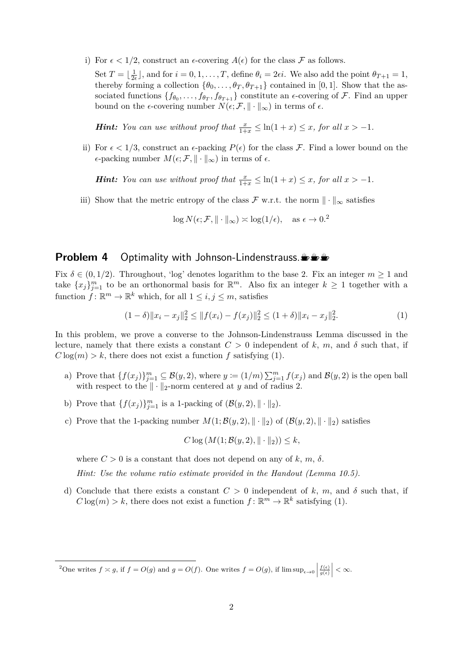- i) For  $\epsilon < 1/2$ , construct an  $\epsilon$ -covering  $A(\epsilon)$  for the class F as follows.
	- Set  $T = \frac{1}{2}$  $\frac{1}{2\epsilon}$ , and for  $i = 0, 1, \ldots, T$ , define  $\theta_i = 2\epsilon i$ . We also add the point  $\theta_{T+1} = 1$ , thereby forming a collection  $\{\theta_0, \ldots, \theta_T, \theta_{T+1}\}$  contained in [0, 1]. Show that the associated functions  $\{f_{\theta_0}, \ldots, f_{\theta_T}, f_{\theta_{T+1}}\}$  constitute an  $\epsilon$ -covering of F. Find an upper bound on the  $\epsilon$ -covering number  $N(\epsilon; \mathcal{F}, \| \cdot \|_{\infty})$  in terms of  $\epsilon$ .

*Hint: You can use without proof that*  $\frac{x}{1+x} \leq \ln(1+x) \leq x$ *, for all*  $x > -1$ *.* 

ii) For  $\epsilon < 1/3$ , construct an  $\epsilon$ -packing  $P(\epsilon)$  for the class F. Find a lower bound on the  $\epsilon$ -packing number  $M(\epsilon; \mathcal{F}, \|\cdot\|_{\infty})$  in terms of  $\epsilon$ .

*Hint: You can use without proof that*  $\frac{x}{1+x} \leq \ln(1+x) \leq x$ *, for all*  $x > -1$ *.* 

iii) Show that the metric entropy of the class F w.r.t. the norm  $\|\cdot\|_{\infty}$  satisfies

 $\log N(\epsilon; \mathcal{F}, \| \cdot \|_{\infty}) \asymp \log(1/\epsilon), \text{ as } \epsilon \to 0.2$ 

#### **Problem 4** Optimality with Johnson-Lindenstrauss.

Fix  $\delta \in (0, 1/2)$ . Throughout, 'log' denotes logarithm to the base 2. Fix an integer  $m \ge 1$  and take  ${x_j}_{j=1}^m$  to be an orthonormal basis for  $\mathbb{R}^m$ . Also fix an integer  $k \geq 1$  together with a function  $\tilde{f} : \mathbb{R}^m \to \mathbb{R}^k$  which, for all  $1 \leq i, j \leq m$ , satisfies

$$
(1 - \delta) \|x_i - x_j\|_2^2 \le \|f(x_i) - f(x_j)\|_2^2 \le (1 + \delta) \|x_i - x_j\|_2^2. \tag{1}
$$

In this problem, we prove a converse to the Johnson-Lindenstrauss Lemma discussed in the lecture, namely that there exists a constant  $C > 0$  independent of k, m, and  $\delta$  such that, if  $C \log(m) > k$ , there does not exist a function f satisfying (1).

- a) Prove that  $\{f(x_j)\}_{j=1}^m \subseteq \mathcal{B}(y, 2)$ , where  $y := (1/m) \sum_{j=1}^m f(x_j)$  and  $\mathcal{B}(y, 2)$  is the open ball with respect to the  $\|\cdot\|_2$ -norm centered at *y* and of radius 2.
- b) Prove that  $\{f(x_j)\}_{j=1}^m$  is a 1-packing of  $(\mathcal{B}(y, 2), \|\cdot\|_2)$ .
- c) Prove that the 1-packing number  $M(1; \mathcal{B}(y, 2), \| \cdot \|_2)$  of  $(\mathcal{B}(y, 2), \| \cdot \|_2)$  satisfies

$$
C \log \left( M(1; \mathcal{B}(y, 2), || \cdot ||_2) \right) \leq k,
$$

where  $C > 0$  is a constant that does not depend on any of  $k, m, \delta$ .

*Hint: Use the volume ratio estimate provided in the Handout (Lemma 10.5).*

d) Conclude that there exists a constant  $C > 0$  independent of k, m, and  $\delta$  such that, if  $C \log(m) > k$ , there does not exist a function  $f: \mathbb{R}^m \to \mathbb{R}^k$  satisfying (1).

<sup>&</sup>lt;sup>2</sup>One writes  $f \approx g$ , if  $f = O(g)$  and  $g = O(f)$ . One writes  $f = O(g)$ , if  $\limsup_{\epsilon \to 0}$  $\left| \frac{f(\epsilon)}{g(\epsilon)} \right| < \infty.$